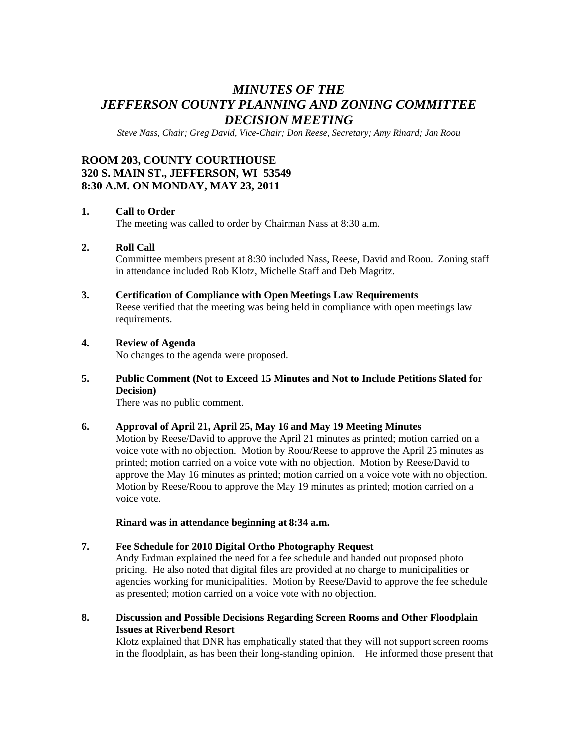# *MINUTES OF THE JEFFERSON COUNTY PLANNING AND ZONING COMMITTEE DECISION MEETING*

*Steve Nass, Chair; Greg David, Vice-Chair; Don Reese, Secretary; Amy Rinard; Jan Roou* 

## **ROOM 203, COUNTY COURTHOUSE 320 S. MAIN ST., JEFFERSON, WI 53549 8:30 A.M. ON MONDAY, MAY 23, 2011**

#### **1. Call to Order**

The meeting was called to order by Chairman Nass at 8:30 a.m.

#### **2. Roll Call**

Committee members present at 8:30 included Nass, Reese, David and Roou. Zoning staff in attendance included Rob Klotz, Michelle Staff and Deb Magritz.

#### **3. Certification of Compliance with Open Meetings Law Requirements**

Reese verified that the meeting was being held in compliance with open meetings law requirements.

## **4. Review of Agenda**

No changes to the agenda were proposed.

### **5. Public Comment (Not to Exceed 15 Minutes and Not to Include Petitions Slated for Decision)**

There was no public comment.

#### **6. Approval of April 21, April 25, May 16 and May 19 Meeting Minutes**

Motion by Reese/David to approve the April 21 minutes as printed; motion carried on a voice vote with no objection. Motion by Roou/Reese to approve the April 25 minutes as printed; motion carried on a voice vote with no objection. Motion by Reese/David to approve the May 16 minutes as printed; motion carried on a voice vote with no objection. Motion by Reese/Roou to approve the May 19 minutes as printed; motion carried on a voice vote.

**Rinard was in attendance beginning at 8:34 a.m.** 

#### **7. Fee Schedule for 2010 Digital Ortho Photography Request**  Andy Erdman explained the need for a fee schedule and handed out proposed photo pricing. He also noted that digital files are provided at no charge to municipalities or agencies working for municipalities. Motion by Reese/David to approve the fee schedule as presented; motion carried on a voice vote with no objection.

**8. Discussion and Possible Decisions Regarding Screen Rooms and Other Floodplain Issues at Riverbend Resort** 

Klotz explained that DNR has emphatically stated that they will not support screen rooms in the floodplain, as has been their long-standing opinion. He informed those present that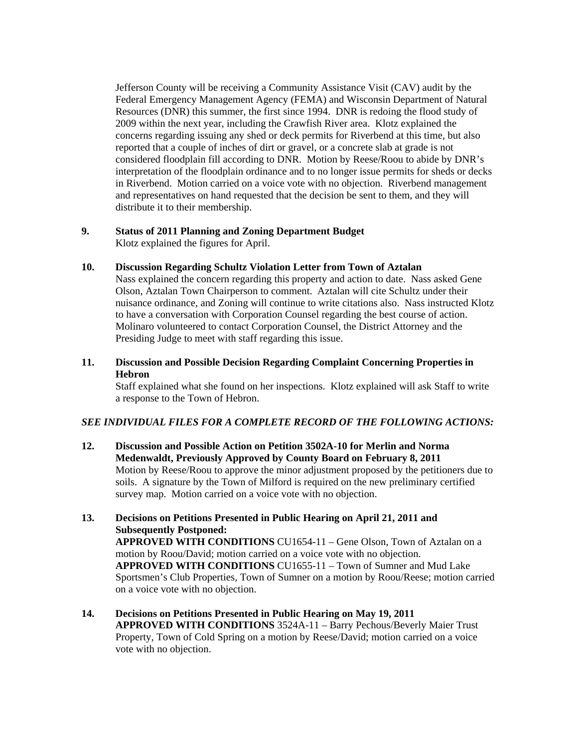Jefferson County will be receiving a Community Assistance Visit (CAV) audit by the Federal Emergency Management Agency (FEMA) and Wisconsin Department of Natural Resources (DNR) this summer, the first since 1994. DNR is redoing the flood study of 2009 within the next year, including the Crawfish River area. Klotz explained the concerns regarding issuing any shed or deck permits for Riverbend at this time, but also reported that a couple of inches of dirt or gravel, or a concrete slab at grade is not considered floodplain fill according to DNR. Motion by Reese/Roou to abide by DNR's interpretation of the floodplain ordinance and to no longer issue permits for sheds or decks in Riverbend. Motion carried on a voice vote with no objection. Riverbend management and representatives on hand requested that the decision be sent to them, and they will distribute it to their membership.

## **9. Status of 2011 Planning and Zoning Department Budget**

Klotz explained the figures for April.

#### **10. Discussion Regarding Schultz Violation Letter from Town of Aztalan**

Nass explained the concern regarding this property and action to date. Nass asked Gene Olson, Aztalan Town Chairperson to comment. Aztalan will cite Schultz under their nuisance ordinance, and Zoning will continue to write citations also. Nass instructed Klotz to have a conversation with Corporation Counsel regarding the best course of action. Molinaro volunteered to contact Corporation Counsel, the District Attorney and the Presiding Judge to meet with staff regarding this issue.

## **11. Discussion and Possible Decision Regarding Complaint Concerning Properties in Hebron**

Staff explained what she found on her inspections. Klotz explained will ask Staff to write a response to the Town of Hebron.

#### *SEE INDIVIDUAL FILES FOR A COMPLETE RECORD OF THE FOLLOWING ACTIONS:*

- **12. Discussion and Possible Action on Petition 3502A-10 for Merlin and Norma Medenwaldt, Previously Approved by County Board on February 8, 2011**  Motion by Reese/Roou to approve the minor adjustment proposed by the petitioners due to soils. A signature by the Town of Milford is required on the new preliminary certified survey map. Motion carried on a voice vote with no objection.
- **13. Decisions on Petitions Presented in Public Hearing on April 21, 2011 and Subsequently Postponed: APPROVED WITH CONDITIONS** CU1654-11 – Gene Olson, Town of Aztalan on a motion by Roou/David; motion carried on a voice vote with no objection. **APPROVED WITH CONDITIONS** CU1655-11 – Town of Sumner and Mud Lake Sportsmen's Club Properties, Town of Sumner on a motion by Roou/Reese; motion carried on a voice vote with no objection.
- **14. Decisions on Petitions Presented in Public Hearing on May 19, 2011 APPROVED WITH CONDITIONS** 3524A-11 – Barry Pechous/Beverly Maier Trust Property, Town of Cold Spring on a motion by Reese/David; motion carried on a voice vote with no objection.